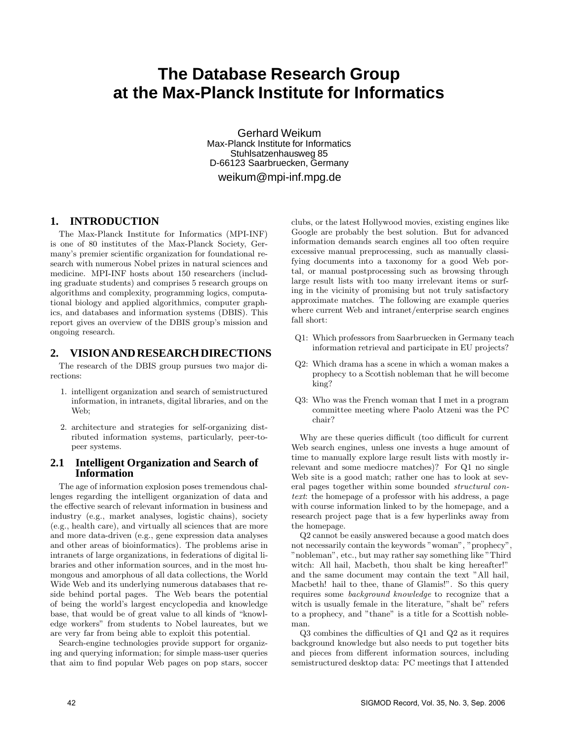# **The Database Research Group at the Max-Planck Institute for Informatics**

Gerhard Weikum Max-Planck Institute for Informatics Stuhlsatzenhausweg 85 D-66123 Saarbruecken, Germany weikum@mpi-inf.mpg.de

## **1. INTRODUCTION**

The Max-Planck Institute for Informatics (MPI-INF) is one of 80 institutes of the Max-Planck Society, Germany's premier scientific organization for foundational research with numerous Nobel prizes in natural sciences and medicine. MPI-INF hosts about 150 researchers (including graduate students) and comprises 5 research groups on algorithms and complexity, programming logics, computational biology and applied algorithmics, computer graphics, and databases and information systems (DBIS). This report gives an overview of the DBIS group's mission and ongoing research.

## **2. VISION AND RESEARCH DIRECTIONS**

The research of the DBIS group pursues two major directions:

- 1. intelligent organization and search of semistructured information, in intranets, digital libraries, and on the Web;
- 2. architecture and strategies for self-organizing distributed information systems, particularly, peer-topeer systems.

#### **2.1 Intelligent Organization and Search of Information**

The age of information explosion poses tremendous challenges regarding the intelligent organization of data and the effective search of relevant information in business and industry (e.g., market analyses, logistic chains), society (e.g., health care), and virtually all sciences that are more and more data-driven (e.g., gene expression data analyses and other areas of bioinformatics). The problems arise in intranets of large organizations, in federations of digital libraries and other information sources, and in the most humongous and amorphous of all data collections, the World Wide Web and its underlying numerous databases that reside behind portal pages. The Web bears the potential of being the world's largest encyclopedia and knowledge base, that would be of great value to all kinds of "knowledge workers" from students to Nobel laureates, but we are very far from being able to exploit this potential.

Search-engine technologies provide support for organizing and querying information; for simple mass-user queries that aim to find popular Web pages on pop stars, soccer

clubs, or the latest Hollywood movies, existing engines like Google are probably the best solution. But for advanced information demands search engines all too often require excessive manual preprocessing, such as manually classifying documents into a taxonomy for a good Web portal, or manual postprocessing such as browsing through large result lists with too many irrelevant items or surfing in the vicinity of promising but not truly satisfactory approximate matches. The following are example queries where current Web and intranet/enterprise search engines fall short:

- Q1: Which professors from Saarbruecken in Germany teach information retrieval and participate in EU projects?
- Q2: Which drama has a scene in which a woman makes a prophecy to a Scottish nobleman that he will become king?
- Q3: Who was the French woman that I met in a program committee meeting where Paolo Atzeni was the PC chair?

Why are these queries difficult (too difficult for current Web search engines, unless one invests a huge amount of time to manually explore large result lists with mostly irrelevant and some mediocre matches)? For Q1 no single Web site is a good match; rather one has to look at several pages together within some bounded structural context: the homepage of a professor with his address, a page with course information linked to by the homepage, and a research project page that is a few hyperlinks away from the homepage.

Q2 cannot be easily answered because a good match does not necessarily contain the keywords "woman", "prophecy", "nobleman", etc., but may rather say something like "Third witch: All hail, Macbeth, thou shalt be king hereafter!" and the same document may contain the text "All hail, Macbeth! hail to thee, thane of Glamis!". So this query requires some background knowledge to recognize that a witch is usually female in the literature, "shalt be" refers to a prophecy, and "thane" is a title for a Scottish nobleman.

Q3 combines the difficulties of Q1 and Q2 as it requires background knowledge but also needs to put together bits and pieces from different information sources, including semistructured desktop data: PC meetings that I attended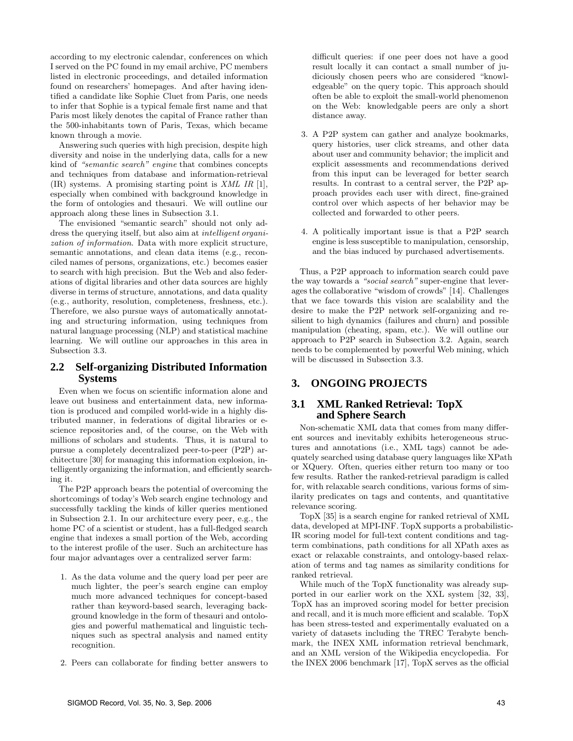according to my electronic calendar, conferences on which I served on the PC found in my email archive, PC members listed in electronic proceedings, and detailed information found on researchers' homepages. And after having identified a candidate like Sophie Cluet from Paris, one needs to infer that Sophie is a typical female first name and that Paris most likely denotes the capital of France rather than the 500-inhabitants town of Paris, Texas, which became known through a movie.

Answering such queries with high precision, despite high diversity and noise in the underlying data, calls for a new kind of "semantic search" engine that combines concepts and techniques from database and information-retrieval (IR) systems. A promising starting point is XML IR [1], especially when combined with background knowledge in the form of ontologies and thesauri. We will outline our approach along these lines in Subsection 3.1.

The envisioned "semantic search" should not only address the querying itself, but also aim at intelligent organization of information. Data with more explicit structure, semantic annotations, and clean data items (e.g., reconciled names of persons, organizations, etc.) becomes easier to search with high precision. But the Web and also federations of digital libraries and other data sources are highly diverse in terms of structure, annotations, and data quality (e.g., authority, resolution, completeness, freshness, etc.). Therefore, we also pursue ways of automatically annotating and structuring information, using techniques from natural language processing (NLP) and statistical machine learning. We will outline our approaches in this area in Subsection 3.3.

#### **2.2 Self-organizing Distributed Information Systems**

Even when we focus on scientific information alone and leave out business and entertainment data, new information is produced and compiled world-wide in a highly distributed manner, in federations of digital libraries or escience repositories and, of the course, on the Web with millions of scholars and students. Thus, it is natural to pursue a completely decentralized peer-to-peer (P2P) architecture [30] for managing this information explosion, intelligently organizing the information, and efficiently searching it.

The P2P approach bears the potential of overcoming the shortcomings of today's Web search engine technology and successfully tackling the kinds of killer queries mentioned in Subsection 2.1. In our architecture every peer, e.g., the home PC of a scientist or student, has a full-fledged search engine that indexes a small portion of the Web, according to the interest profile of the user. Such an architecture has four major advantages over a centralized server farm:

- 1. As the data volume and the query load per peer are much lighter, the peer's search engine can employ much more advanced techniques for concept-based rather than keyword-based search, leveraging background knowledge in the form of thesauri and ontologies and powerful mathematical and linguistic techniques such as spectral analysis and named entity recognition.
- 2. Peers can collaborate for finding better answers to

difficult queries: if one peer does not have a good result locally it can contact a small number of judiciously chosen peers who are considered "knowledgeable" on the query topic. This approach should often be able to exploit the small-world phenomenon on the Web: knowledgable peers are only a short distance away.

- 3. A P2P system can gather and analyze bookmarks, query histories, user click streams, and other data about user and community behavior; the implicit and explicit assessments and recommendations derived from this input can be leveraged for better search results. In contrast to a central server, the P2P approach provides each user with direct, fine-grained control over which aspects of her behavior may be collected and forwarded to other peers.
- 4. A politically important issue is that a P2P search engine is less susceptible to manipulation, censorship, and the bias induced by purchased advertisements.

Thus, a P2P approach to information search could pave the way towards a "social search" super-engine that leverages the collaborative "wisdom of crowds" [14]. Challenges that we face towards this vision are scalability and the desire to make the P2P network self-organizing and resilient to high dynamics (failures and churn) and possible manipulation (cheating, spam, etc.). We will outline our approach to P2P search in Subsection 3.2. Again, search needs to be complemented by powerful Web mining, which will be discussed in Subsection 3.3.

## **3. ONGOING PROJECTS**

### **3.1 XML Ranked Retrieval: TopX and Sphere Search**

Non-schematic XML data that comes from many different sources and inevitably exhibits heterogeneous structures and annotations (i.e., XML tags) cannot be adequately searched using database query languages like XPath or XQuery. Often, queries either return too many or too few results. Rather the ranked-retrieval paradigm is called for, with relaxable search conditions, various forms of similarity predicates on tags and contents, and quantitative relevance scoring.

TopX [35] is a search engine for ranked retrieval of XML data, developed at MPI-INF. TopX supports a probabilistic-IR scoring model for full-text content conditions and tagterm combinations, path conditions for all XPath axes as exact or relaxable constraints, and ontology-based relaxation of terms and tag names as similarity conditions for ranked retrieval.

While much of the TopX functionality was already supported in our earlier work on the XXL system [32, 33], TopX has an improved scoring model for better precision and recall, and it is much more efficient and scalable. TopX has been stress-tested and experimentally evaluated on a variety of datasets including the TREC Terabyte benchmark, the INEX XML information retrieval benchmark, and an XML version of the Wikipedia encyclopedia. For the INEX 2006 benchmark [17], TopX serves as the official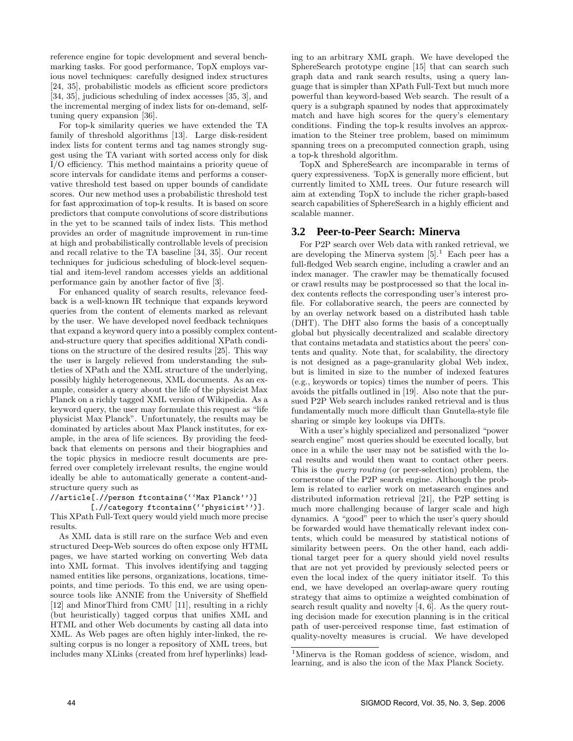reference engine for topic development and several benchmarking tasks. For good performance, TopX employs various novel techniques: carefully designed index structures [24, 35], probabilistic models as efficient score predictors [34, 35], judicious scheduling of index accesses [35, 3], and the incremental merging of index lists for on-demand, selftuning query expansion [36].

For top-k similarity queries we have extended the TA family of threshold algorithms [13]. Large disk-resident index lists for content terms and tag names strongly suggest using the TA variant with sorted access only for disk I/O efficiency. This method maintains a priority queue of score intervals for candidate items and performs a conservative threshold test based on upper bounds of candidate scores. Our new method uses a probabilistic threshold test for fast approximation of top-k results. It is based on score predictors that compute convolutions of score distributions in the yet to be scanned tails of index lists. This method provides an order of magnitude improvement in run-time at high and probabilistically controllable levels of precision and recall relative to the TA baseline [34, 35]. Our recent techniques for judicious scheduling of block-level sequential and item-level random accesses yields an additional performance gain by another factor of five [3].

For enhanced quality of search results, relevance feedback is a well-known IR technique that expands keyword queries from the content of elements marked as relevant by the user. We have developed novel feedback techniques that expand a keyword query into a possibly complex contentand-structure query that specifies additional XPath conditions on the structure of the desired results [25]. This way the user is largely relieved from understanding the subtleties of XPath and the XML structure of the underlying, possibly highly heterogeneous, XML documents. As an example, consider a query about the life of the physicist Max Planck on a richly tagged XML version of Wikipedia. As a keyword query, the user may formulate this request as "life physicist Max Planck". Unfortunately, the results may be dominated by articles about Max Planck institutes, for example, in the area of life sciences. By providing the feedback that elements on persons and their biographies and the topic physics in mediocre result documents are preferred over completely irrelevant results, the engine would ideally be able to automatically generate a content-andstructure query such as

### //article[.//person ftcontains(''Max Planck'')]

[.//category ftcontains(''physicist'')]. This XPath Full-Text query would yield much more precise results.

As XML data is still rare on the surface Web and even structured Deep-Web sources do often expose only HTML pages, we have started working on converting Web data into XML format. This involves identifying and tagging named entities like persons, organizations, locations, timepoints, and time periods. To this end, we are using opensource tools like ANNIE from the University of Sheffield [12] and MinorThird from CMU [11], resulting in a richly (but heuristically) tagged corpus that unifies XML and HTML and other Web documents by casting all data into XML. As Web pages are often highly inter-linked, the resulting corpus is no longer a repository of XML trees, but includes many XLinks (created from href hyperlinks) lead-

ing to an arbitrary XML graph. We have developed the SphereSearch prototype engine [15] that can search such graph data and rank search results, using a query language that is simpler than XPath Full-Text but much more powerful than keyword-based Web search. The result of a query is a subgraph spanned by nodes that approximately match and have high scores for the query's elementary conditions. Finding the top-k results involves an approximation to the Steiner tree problem, based on mimimum spanning trees on a precomputed connection graph, using a top-k threshold algorithm.

TopX and SphereSearch are incomparable in terms of query expressiveness. TopX is generally more efficient, but currently limited to XML trees. Our future research will aim at extending TopX to include the richer graph-based search capabilities of SphereSearch in a highly efficient and scalable manner.

#### **3.2 Peer-to-Peer Search: Minerva**

For P2P search over Web data with ranked retrieval, we are developing the Minerva system  $[5]$ <sup>1</sup> Each peer has a full-fledged Web search engine, including a crawler and an index manager. The crawler may be thematically focused or crawl results may be postprocessed so that the local index contents reflects the corresponding user's interest profile. For collaborative search, the peers are connected by by an overlay network based on a distributed hash table (DHT). The DHT also forms the basis of a conceptually global but physically decentralized and scalable directory that contains metadata and statistics about the peers' contents and quality. Note that, for scalability, the directory is not designed as a page-granularity global Web index, but is limited in size to the number of indexed features (e.g., keywords or topics) times the number of peers. This avoids the pitfalls outlined in [19]. Also note that the pursued P2P Web search includes ranked retrieval and is thus fundamentally much more difficult than Gnutella-style file sharing or simple key lookups via DHTs.

With a user's highly specialized and personalized "power search engine" most queries should be executed locally, but once in a while the user may not be satisfied with the local results and would then want to contact other peers. This is the query routing (or peer-selection) problem, the cornerstone of the P2P search engine. Although the problem is related to earlier work on metasearch engines and distributed information retrieval [21], the P2P setting is much more challenging because of larger scale and high dynamics. A "good" peer to which the user's query should be forwarded would have thematically relevant index contents, which could be measured by statistical notions of similarity between peers. On the other hand, each additional target peer for a query should yield novel results that are not yet provided by previously selected peers or even the local index of the query initiator itself. To this end, we have developed an overlap-aware query routing strategy that aims to optimize a weighted combination of search result quality and novelty [4, 6]. As the query routing decision made for execution planning is in the critical path of user-perceived response time, fast estimation of quality-novelty measures is crucial. We have developed

<sup>1</sup>Minerva is the Roman goddess of science, wisdom, and learning, and is also the icon of the Max Planck Society.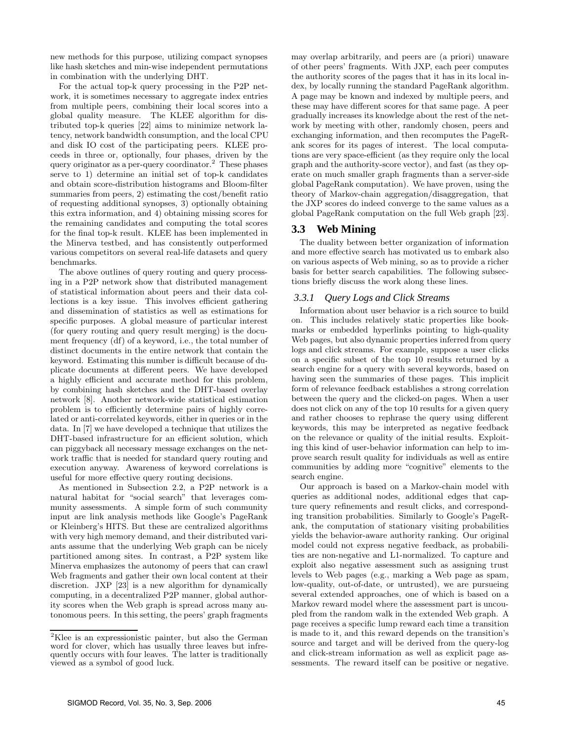new methods for this purpose, utilizing compact synopses like hash sketches and min-wise independent permutations in combination with the underlying DHT.

For the actual top-k query processing in the P2P network, it is sometimes necessary to aggregate index entries from multiple peers, combining their local scores into a global quality measure. The KLEE algorithm for distributed top-k queries [22] aims to minimize network latency, network bandwidth consumption, and the local CPU and disk IO cost of the participating peers. KLEE proceeds in three or, optionally, four phases, driven by the query originator as a per-query coordinator.<sup>2</sup> These phases serve to 1) determine an initial set of top-k candidates and obtain score-distribution histograms and Bloom-filter summaries from peers, 2) estimating the cost/benefit ratio of requesting additional synopses, 3) optionally obtaining this extra information, and 4) obtaining missing scores for the remaining candidates and computing the total scores for the final top-k result. KLEE has been implemented in the Minerva testbed, and has consistently outperformed various competitors on several real-life datasets and query benchmarks.

The above outlines of query routing and query processing in a P2P network show that distributed management of statistical information about peers and their data collections is a key issue. This involves efficient gathering and dissemination of statistics as well as estimations for specific purposes. A global measure of particular interest (for query routing and query result merging) is the document frequency (df) of a keyword, i.e., the total number of distinct documents in the entire network that contain the keyword. Estimating this number is difficult because of duplicate documents at different peers. We have developed a highly efficient and accurate method for this problem, by combining hash sketches and the DHT-based overlay network [8]. Another network-wide statistical estimation problem is to efficiently determine pairs of highly correlated or anti-correlated keywords, either in queries or in the data. In [7] we have developed a technique that utilizes the DHT-based infrastructure for an efficient solution, which can piggyback all necessary message exchanges on the network traffic that is needed for standard query routing and execution anyway. Awareness of keyword correlations is useful for more effective query routing decisions.

As mentioned in Subsection 2.2, a P2P network is a natural habitat for "social search" that leverages community assessments. A simple form of such community input are link analysis methods like Google's PageRank or Kleinberg's HITS. But these are centralized algorithms with very high memory demand, and their distributed variants assume that the underlying Web graph can be nicely partitioned among sites. In contrast, a P2P system like Minerva emphasizes the autonomy of peers that can crawl Web fragments and gather their own local content at their discretion. JXP [23] is a new algorithm for dynamically computing, in a decentralized P2P manner, global authority scores when the Web graph is spread across many autonomous peers. In this setting, the peers' graph fragments

may overlap arbitrarily, and peers are (a priori) unaware of other peers' fragments. With JXP, each peer computes the authority scores of the pages that it has in its local index, by locally running the standard PageRank algorithm. A page may be known and indexed by multiple peers, and these may have different scores for that same page. A peer gradually increases its knowledge about the rest of the network by meeting with other, randomly chosen, peers and exchanging information, and then recomputes the PageRank scores for its pages of interest. The local computations are very space-efficient (as they require only the local graph and the authority-score vector), and fast (as they operate on much smaller graph fragments than a server-side global PageRank computation). We have proven, using the theory of Markov-chain aggregation/disaggregation, that the JXP scores do indeed converge to the same values as a global PageRank computation on the full Web graph [23].

## **3.3 Web Mining**

The duality between better organization of information and more effective search has motivated us to embark also on various aspects of Web mining, so as to provide a richer basis for better search capabilities. The following subsections briefly discuss the work along these lines.

#### *3.3.1 Query Logs and Click Streams*

Information about user behavior is a rich source to build on. This includes relatively static properties like bookmarks or embedded hyperlinks pointing to high-quality Web pages, but also dynamic properties inferred from query logs and click streams. For example, suppose a user clicks on a specific subset of the top 10 results returned by a search engine for a query with several keywords, based on having seen the summaries of these pages. This implicit form of relevance feedback establishes a strong correlation between the query and the clicked-on pages. When a user does not click on any of the top 10 results for a given query and rather chooses to rephrase the query using different keywords, this may be interpreted as negative feedback on the relevance or quality of the initial results. Exploiting this kind of user-behavior information can help to improve search result quality for individuals as well as entire communities by adding more "cognitive" elements to the search engine.

Our approach is based on a Markov-chain model with queries as additional nodes, additional edges that capture query refinements and result clicks, and corresponding transition probabilities. Similarly to Google's PageRank, the computation of stationary visiting probabilities yields the behavior-aware authority ranking. Our original model could not express negative feedback, as probabilities are non-negative and L1-normalized. To capture and exploit also negative assessment such as assigning trust levels to Web pages (e.g., marking a Web page as spam, low-quality, out-of-date, or untrusted), we are pursueing several extended approaches, one of which is based on a Markov reward model where the assessment part is uncoupled from the random walk in the extended Web graph. A page receives a specific lump reward each time a transition is made to it, and this reward depends on the transition's source and target and will be derived from the query-log and click-stream information as well as explicit page assessments. The reward itself can be positive or negative.

<sup>2</sup>Klee is an expressionistic painter, but also the German word for clover, which has usually three leaves but infrequently occurs with four leaves. The latter is traditionally viewed as a symbol of good luck.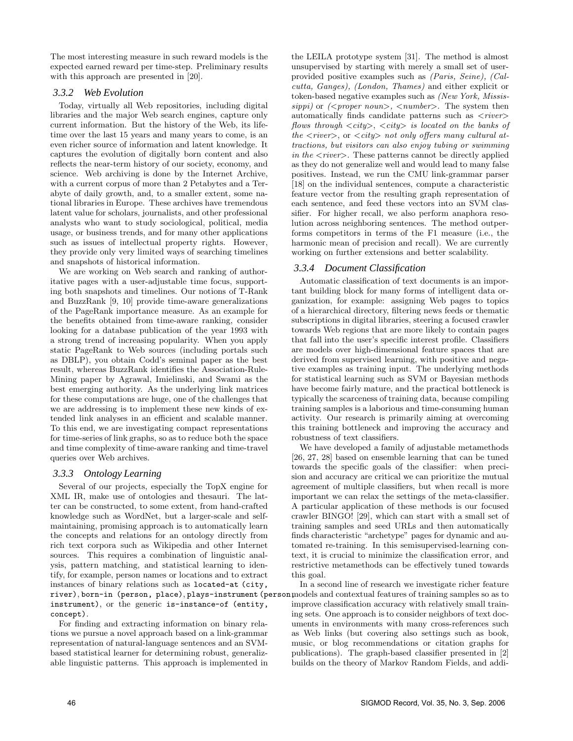The most interesting measure in such reward models is the expected earned reward per time-step. Preliminary results with this approach are presented in [20].

#### *3.3.2 Web Evolution*

Today, virtually all Web repositories, including digital libraries and the major Web search engines, capture only current information. But the history of the Web, its lifetime over the last 15 years and many years to come, is an even richer source of information and latent knowledge. It captures the evolution of digitally born content and also reflects the near-term history of our society, economy, and science. Web archiving is done by the Internet Archive, with a current corpus of more than 2 Petabytes and a Terabyte of daily growth, and, to a smaller extent, some national libraries in Europe. These archives have tremendous latent value for scholars, journalists, and other professional analysts who want to study sociological, political, media usage, or business trends, and for many other applications such as issues of intellectual property rights. However, they provide only very limited ways of searching timelines and snapshots of historical information.

We are working on Web search and ranking of authoritative pages with a user-adjustable time focus, supporting both snapshots and timelines. Our notions of T-Rank and BuzzRank [9, 10] provide time-aware generalizations of the PageRank importance measure. As an example for the benefits obtained from time-aware ranking, consider looking for a database publication of the year 1993 with a strong trend of increasing popularity. When you apply static PageRank to Web sources (including portals such as DBLP), you obtain Codd's seminal paper as the best result, whereas BuzzRank identifies the Association-Rule-Mining paper by Agrawal, Imielinski, and Swami as the best emerging authority. As the underlying link matrices for these computations are huge, one of the challenges that we are addressing is to implement these new kinds of extended link analyses in an efficient and scalable manner. To this end, we are investigating compact representations for time-series of link graphs, so as to reduce both the space and time complexity of time-aware ranking and time-travel queries over Web archives.

## *3.3.3 Ontology Learning*

Several of our projects, especially the TopX engine for XML IR, make use of ontologies and thesauri. The latter can be constructed, to some extent, from hand-crafted knowledge such as WordNet, but a larger-scale and selfmaintaining, promising approach is to automatically learn the concepts and relations for an ontology directly from rich text corpora such as Wikipedia and other Internet sources. This requires a combination of linguistic analysis, pattern matching, and statistical learning to identify, for example, person names or locations and to extract instances of binary relations such as located-at (city, river), born-in (person, place), plays-instrument (person, models and contextual features of training samples so as to instrument), or the generic is-instance-of (entity, concept).

For finding and extracting information on binary relations we pursue a novel approach based on a link-grammar representation of natural-language sentences and an SVMbased statistical learner for determining robust, generalizable linguistic patterns. This approach is implemented in

the LEILA prototype system [31]. The method is almost unsupervised by starting with merely a small set of userprovided positive examples such as (Paris, Seine), (Calcutta, Ganges), (London, Thames) and either explicit or token-based negative examples such as (New York, Mississippi) or  $\langle$  ( $\langle$  proper noun $\rangle$ ,  $\langle$  number $\rangle$ . The system then automatically finds candidate patterns such as  $\langle river \rangle$ flows through  $\langle city \rangle$ ,  $\langle city \rangle$  is located on the banks of the  $\langle river\rangle$ , or  $\langle city\rangle$  not only offers many cultural attractions, but visitors can also enjoy tubing or swimming in the  $\langle river \rangle$ . These patterns cannot be directly applied as they do not generalize well and would lead to many false positives. Instead, we run the CMU link-grammar parser [18] on the individual sentences, compute a characteristic feature vector from the resulting graph representation of each sentence, and feed these vectors into an SVM classifier. For higher recall, we also perform anaphora resolution across neighboring sentences. The method outperforms competitors in terms of the F1 measure (i.e., the harmonic mean of precision and recall). We are currently working on further extensions and better scalability.

## *3.3.4 Document Classification*

Automatic classification of text documents is an important building block for many forms of intelligent data organization, for example: assigning Web pages to topics of a hierarchical directory, filtering news feeds or thematic subscriptions in digital libraries, steering a focused crawler towards Web regions that are more likely to contain pages that fall into the user's specific interest profile. Classifiers are models over high-dimensional feature spaces that are derived from supervised learning, with positive and negative examples as training input. The underlying methods for statistical learning such as SVM or Bayesian methods have become fairly mature, and the practical bottleneck is typically the scarceness of training data, because compiling training samples is a laborious and time-consuming human activity. Our research is primarily aiming at overcoming this training bottleneck and improving the accuracy and robustness of text classifiers.

We have developed a family of adjustable metamethods [26, 27, 28] based on ensemble learning that can be tuned towards the specific goals of the classifier: when precision and accuracy are critical we can prioritize the mutual agreement of multiple classifiers, but when recall is more important we can relax the settings of the meta-classifier. A particular application of these methods is our focused crawler BINGO! [29], which can start with a small set of training samples and seed URLs and then automatically finds characteristic "archetype" pages for dynamic and automated re-training. In this semisupervised-learning context, it is crucial to minimize the classification error, and restrictive metamethods can be effectively tuned towards this goal.

In a second line of research we investigate richer feature improve classification accuracy with relatively small training sets. One approach is to consider neighbors of text documents in environments with many cross-references such as Web links (but covering also settings such as book, music, or blog recommendations or citation graphs for publications). The graph-based classifier presented in [2] builds on the theory of Markov Random Fields, and addi